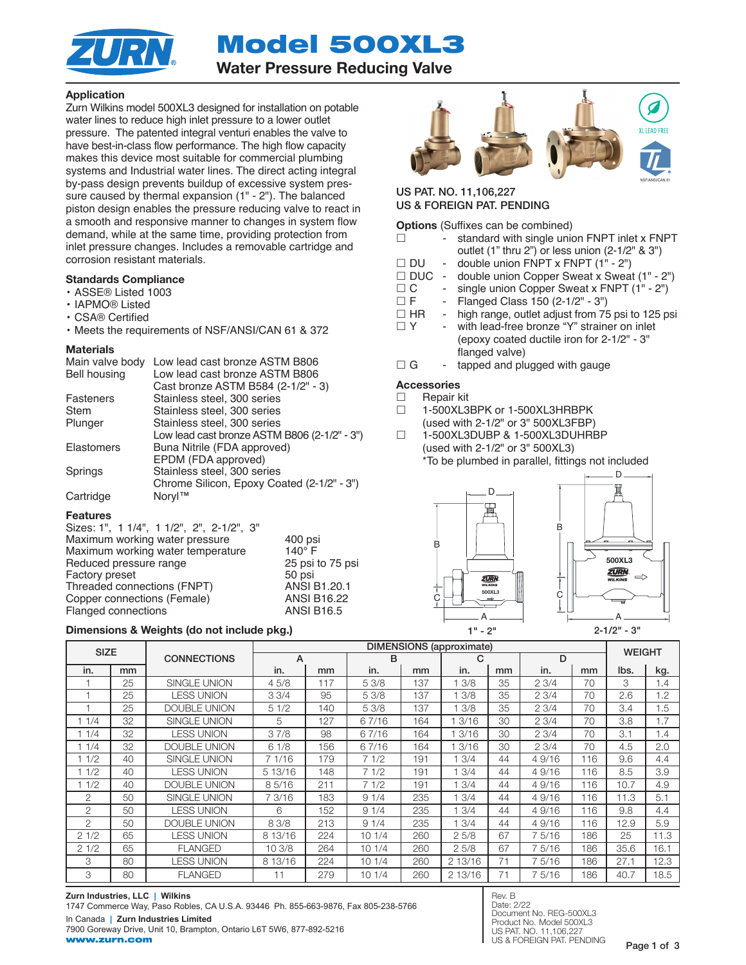Model 500XL3



# Water Pressure Reducing Valve

### Application

Zurn Wilkins model 500XL3 designed for installation on potable water lines to reduce high inlet pressure to a lower outlet pressure. The patented integral venturi enables the valve to have best-in-class flow performance. The high flow capacity makes this device most suitable for commercial plumbing systems and Industrial water lines. The direct acting integral by-pass design prevents buildup of excessive system pressure caused by thermal expansion (1" - 2"). The balanced piston design enables the pressure reducing valve to react in a smooth and responsive manner to changes in system flow demand, while at the same time, providing protection from inlet pressure changes. Includes a removable cartridge and corrosion resistant materials.

### Standards Compliance

• ASSE® Listed 1003

- IAPMO® Listed
- CSA® Certified
- Meets the requirements of NSF/ANSI/CAN 61 & 372

#### **Materials**

| Main valve body     | Low lead cast bronze ASTM B806               |
|---------------------|----------------------------------------------|
| <b>Bell housing</b> | Low lead cast bronze ASTM B806               |
|                     | Cast bronze ASTM B584 (2-1/2" - 3)           |
| Fasteners           | Stainless steel, 300 series                  |
| Stem                | Stainless steel, 300 series                  |
| Plunger             | Stainless steel, 300 series                  |
|                     | Low lead cast bronze ASTM B806 (2-1/2" - 3") |
| <b>Elastomers</b>   | Buna Nitrile (FDA approved)                  |
|                     | EPDM (FDA approved)                          |
| Springs             | Stainless steel, 300 series                  |
|                     | Chrome Silicon, Epoxy Coated (2-1/2" - 3")   |
| Cartridge           | Noryl™                                       |

#### Features

| Sizes: 1", 1 1/4", 1 1/2", 2", 2-1/2", 3" |                    |
|-------------------------------------------|--------------------|
| Maximum working water pressure            | 400 psi            |
| Maximum working water temperature         | $140^\circ$ F      |
| Reduced pressure range                    | 25 psi to 75 psi   |
| <b>Factory preset</b>                     | 50 psi             |
| Threaded connections (FNPT)               | ANSI B1.20.1       |
| Copper connections (Female)               | <b>ANSI B16.22</b> |
| Flanged connections                       | <b>ANSI B16.5</b>  |
|                                           |                    |

#### Dimensions & Weights (do not include pkg.)  $1" - 2"$   $2 \cdot 1/2" - 3"$



### US PAT. NO. 11,106,227 US & FOREIGN PAT. PENDING

| <b>Options</b> (Suffixes can be combined) |    |                                                                                         |  |  |  |  |  |
|-------------------------------------------|----|-----------------------------------------------------------------------------------------|--|--|--|--|--|
| г                                         |    | standard with single union FNPT inlet x FNPT                                            |  |  |  |  |  |
| $\Box$ DU                                 |    | outlet (1" thru 2") or less union (2-1/2" & 3")<br>- double union FNPT x FNPT (1" - 2") |  |  |  |  |  |
|                                           |    |                                                                                         |  |  |  |  |  |
| $\Box$ DUC                                |    | - double union Copper Sweat x Sweat (1" - 2")                                           |  |  |  |  |  |
| $\Box$ C                                  |    | - single union Copper Sweat x FNPT (1" - 2")                                            |  |  |  |  |  |
| $\Box$ F                                  | н. | Flanged Class 150 (2-1/2" - 3")                                                         |  |  |  |  |  |
| $\Box$ HR                                 |    | high range, outlet adjust from 75 psi to 125 psi                                        |  |  |  |  |  |
| $\Box$ Y                                  |    | with lead-free bronze "Y" strainer on inlet                                             |  |  |  |  |  |
|                                           |    | (epoxy coated ductile iron for 2-1/2" - 3"                                              |  |  |  |  |  |
|                                           |    | flanged valve)                                                                          |  |  |  |  |  |
| $\Box$ G                                  |    | tapped and plugged with gauge                                                           |  |  |  |  |  |
| <b>Accessories</b>                        |    |                                                                                         |  |  |  |  |  |

## □ Repair kit

- □ 1-500XL3BPK or 1-500XL3HRBPK (used with 2-1/2" or 3" 500XL3FBP)
- 1-500XL3DUBP & 1-500XL3DUHRBP (used with 2-1/2" or 3" 500XL3) \*To be plumbed in parallel, fittings not included



| <b>SIZE</b> |    | <b>CONNECTIONS</b>  | <b>DIMENSIONS</b> (approximate) |     |       |     |         |    |       | <b>WEIGHT</b> |      |      |
|-------------|----|---------------------|---------------------------------|-----|-------|-----|---------|----|-------|---------------|------|------|
|             |    |                     | A                               |     | в     |     | C       |    | D     |               |      |      |
| in.         | mm |                     | in.                             | mm  | in.   | mm  | in.     | mm | in.   | mm            | lbs. | kg.  |
|             | 25 | SINGLE UNION        | 45/8                            | 117 | 5 3/8 | 137 | 3/8     | 35 | 23/4  | 70            | З    | 1.4  |
|             | 25 | <b>LESS UNION</b>   | 33/4                            | 95  | 5 3/8 | 137 | 3/8     | 35 | 23/4  | 70            | 2.6  | 1.2  |
|             | 25 | <b>DOUBLE UNION</b> | 51/2                            | 140 | 5 3/8 | 137 | 3/8     | 35 | 23/4  | 70            | 3.4  | 1.5  |
| 1/4         | 32 | <b>SINGLE UNION</b> | 5                               | 127 | 67/16 | 164 | 3/16    | 30 | 23/4  | 70            | 3.8  | 1.7  |
| 1/4         | 32 | <b>LESS UNION</b>   | 37/8                            | 98  | 67/16 | 164 | 3/16    | 30 | 23/4  | 70            | 3.1  | 1.4  |
| 1/4         | 32 | DOUBLE UNION        | 61/8                            | 156 | 67/16 | 164 | 3/16    | 30 | 23/4  | 70            | 4.5  | 2.0  |
| 11/2        | 40 | <b>SINGLE UNION</b> | 7 1/16                          | 179 | 71/2  | 191 | 3/4     | 44 | 49/16 | 116           | 9.6  | 4.4  |
| 1/2         | 40 | <b>LESS UNION</b>   | 5 13/16                         | 148 | 71/2  | 191 | 3/4     | 44 | 49/16 | 116           | 8.5  | 3.9  |
| 1/2         | 40 | <b>DOUBLE UNION</b> | 85/16                           | 211 | 71/2  | 191 | 3/4     | 44 | 49/16 | 116           | 10.7 | 4.9  |
| 2           | 50 | <b>SINGLE UNION</b> | 7 3/16                          | 183 | 91/4  | 235 | 3/4     | 44 | 49/16 | 116           | 11.3 | 5.1  |
| 2           | 50 | <b>LESS UNION</b>   | 6                               | 152 | 91/4  | 235 | 3/4     | 44 | 49/16 | 116           | 9.8  | 4.4  |
| 2           | 50 | <b>DOUBLE UNION</b> | 8 3/8                           | 213 | 91/4  | 235 | 3/4     | 44 | 49/16 | 116           | 12.9 | 5.9  |
| 21/2        | 65 | <b>LESS UNION</b>   | 8 13/16                         | 224 | 101/4 | 260 | 25/8    | 67 | 75/16 | 186           | 25   | 11.3 |
| 21/2        | 65 | <b>FLANGED</b>      | 10 3/8                          | 264 | 101/4 | 260 | 25/8    | 67 | 75/16 | 186           | 35.6 | 16.1 |
| 3           | 80 | <b>LESS UNION</b>   | 8 13/16                         | 224 | 101/4 | 260 | 2 13/16 | 71 | 75/16 | 186           | 27.1 | 12.3 |
| 3           | 80 | <b>FLANGED</b>      | 11                              | 279 | 101/4 | 260 | 2 13/16 | 71 | 75/16 | 186           | 40.7 | 18.5 |

**Zurn Industries, LLC | Wilkins** 1747 Commerce Way, Paso Robles, CA U.S.A. 93446 Ph. 855-663-9876, Fax 805-238-5766 In Canada **| Zurn Industries Limited** 7900 Goreway Drive, Unit 10, Brampton, Ontario L6T 5W6, 877-892-5216 www.zurn.com

Rev. B Date: 2/22 Document No. REG-500XL3 Product No. Model 500XL3 US PAT. NO. 11,106,227 US & FOREIGN PAT. PENDING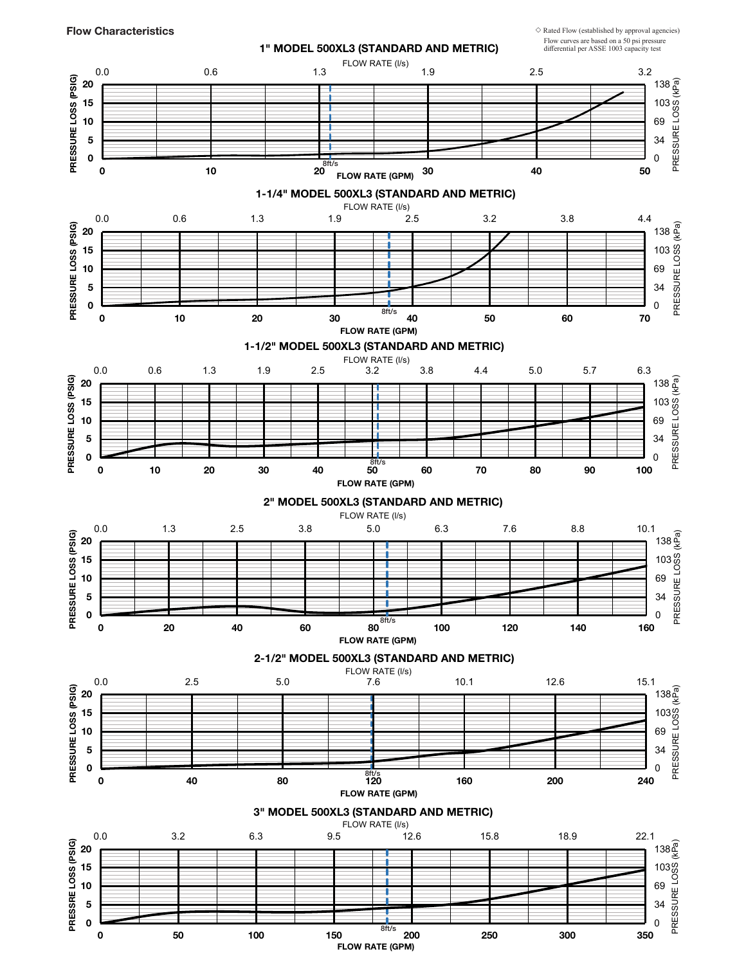